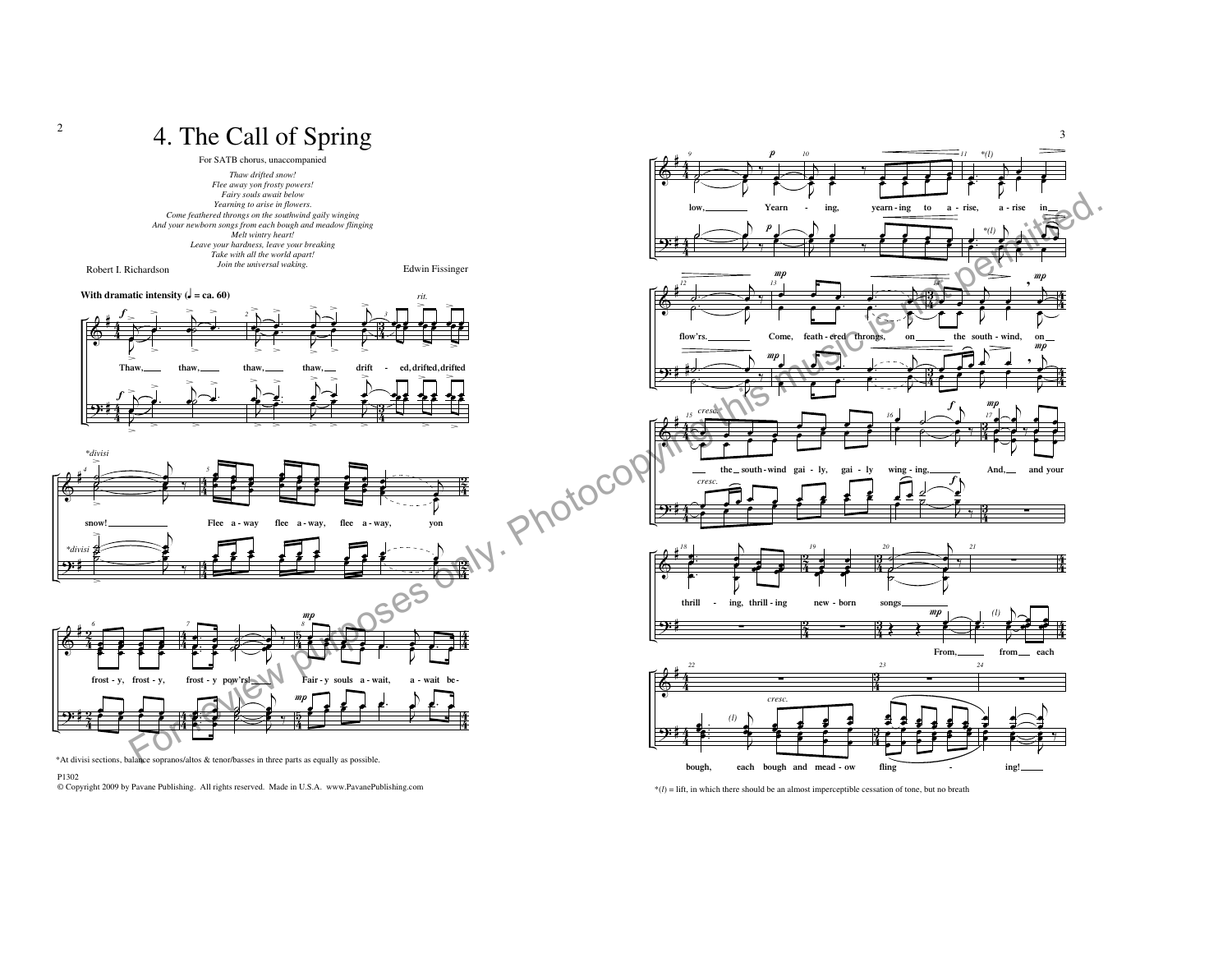

© Copyright 2009 by Pavane Publishing. All rights reserved. Made in U.S.A. www.PavanePublishing.com

 $*(l) =$  lift, in which there should be an almost imperceptible cessation of tone, but no breath